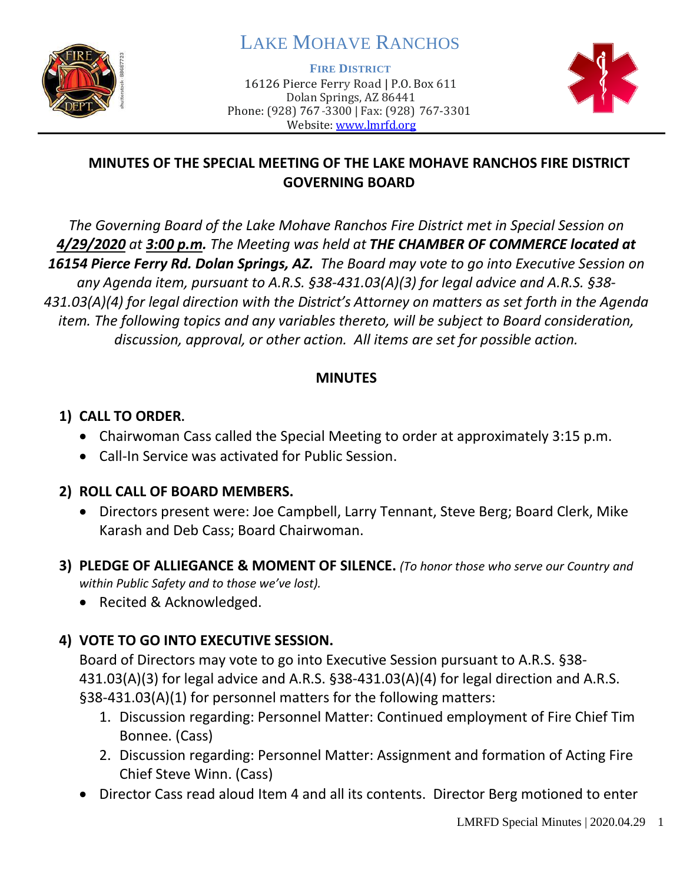

# LAKE MOHAVE RANCHOS

**FIRE DISTRICT**

16126 Pierce Ferry Road | P.O. Box 611 Dolan Springs, AZ 86441 Phone: (928) 767-3300 | Fax: (928) 767-3301 Website: [www.lmrfd.org](http://www.lmrfd.org/)



### **MINUTES OF THE SPECIAL MEETING OF THE LAKE MOHAVE RANCHOS FIRE DISTRICT GOVERNING BOARD**

*The Governing Board of the Lake Mohave Ranchos Fire District met in Special Session on 4/29/2020 at 3:00 p.m. The Meeting was held at THE CHAMBER OF COMMERCE located at 16154 Pierce Ferry Rd. Dolan Springs, AZ. The Board may vote to go into Executive Session on any Agenda item, pursuant to A.R.S. §38-431.03(A)(3) for legal advice and A.R.S. §38- 431.03(A)(4) for legal direction with the District's Attorney on matters as set forth in the Agenda item. The following topics and any variables thereto, will be subject to Board consideration, discussion, approval, or other action. All items are set for possible action.* 

#### **MINUTES**

### **1) CALL TO ORDER.**

- Chairwoman Cass called the Special Meeting to order at approximately 3:15 p.m.
- Call-In Service was activated for Public Session.

#### **2) ROLL CALL OF BOARD MEMBERS.**

- Directors present were: Joe Campbell, Larry Tennant, Steve Berg; Board Clerk, Mike Karash and Deb Cass; Board Chairwoman.
- **3) PLEDGE OF ALLIEGANCE & MOMENT OF SILENCE.** *(To honor those who serve our Country and within Public Safety and to those we've lost).*
	- Recited & Acknowledged.

# **4) VOTE TO GO INTO EXECUTIVE SESSION.**

Board of Directors may vote to go into Executive Session pursuant to A.R.S. §38- 431.03(A)(3) for legal advice and A.R.S. §38-431.03(A)(4) for legal direction and A.R.S. §38-431.03(A)(1) for personnel matters for the following matters:

- 1. Discussion regarding: Personnel Matter: Continued employment of Fire Chief Tim Bonnee. (Cass)
- 2. Discussion regarding: Personnel Matter: Assignment and formation of Acting Fire Chief Steve Winn. (Cass)
- Director Cass read aloud Item 4 and all its contents. Director Berg motioned to enter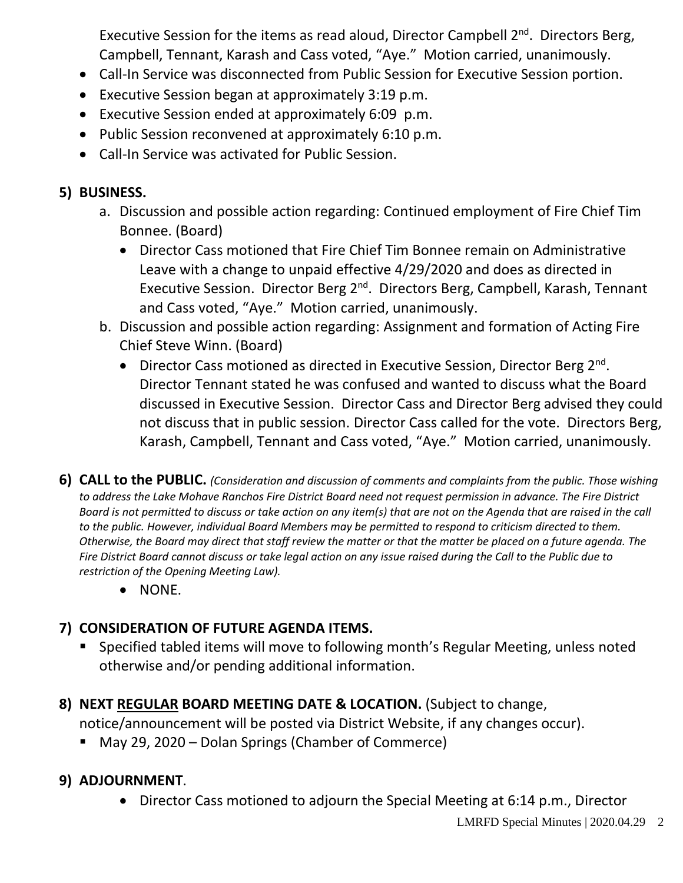Executive Session for the items as read aloud, Director Campbell  $2^{nd}$ . Directors Berg, Campbell, Tennant, Karash and Cass voted, "Aye." Motion carried, unanimously.

- Call-In Service was disconnected from Public Session for Executive Session portion.
- Executive Session began at approximately 3:19 p.m.
- Executive Session ended at approximately 6:09 p.m.
- Public Session reconvened at approximately 6:10 p.m.
- Call-In Service was activated for Public Session.

### **5) BUSINESS.**

- a. Discussion and possible action regarding: Continued employment of Fire Chief Tim Bonnee. (Board)
	- Director Cass motioned that Fire Chief Tim Bonnee remain on Administrative Leave with a change to unpaid effective 4/29/2020 and does as directed in Executive Session. Director Berg 2<sup>nd</sup>. Directors Berg, Campbell, Karash, Tennant and Cass voted, "Aye." Motion carried, unanimously.
- b. Discussion and possible action regarding: Assignment and formation of Acting Fire Chief Steve Winn. (Board)
	- Director Cass motioned as directed in Executive Session, Director Berg 2<sup>nd</sup>. Director Tennant stated he was confused and wanted to discuss what the Board discussed in Executive Session. Director Cass and Director Berg advised they could not discuss that in public session. Director Cass called for the vote. Directors Berg, Karash, Campbell, Tennant and Cass voted, "Aye." Motion carried, unanimously.
- **6) CALL to the PUBLIC.** *(Consideration and discussion of comments and complaints from the public. Those wishing to address the Lake Mohave Ranchos Fire District Board need not request permission in advance. The Fire District Board is not permitted to discuss or take action on any item(s) that are not on the Agenda that are raised in the call to the public. However, individual Board Members may be permitted to respond to criticism directed to them. Otherwise, the Board may direct that staff review the matter or that the matter be placed on a future agenda. The Fire District Board cannot discuss or take legal action on any issue raised during the Call to the Public due to restriction of the Opening Meeting Law).*
	- NONE.

# **7) CONSIDERATION OF FUTURE AGENDA ITEMS.**

- Specified tabled items will move to following month's Regular Meeting, unless noted otherwise and/or pending additional information.
- **8) NEXT REGULAR BOARD MEETING DATE & LOCATION.** (Subject to change,

notice/announcement will be posted via District Website, if any changes occur).

May 29, 2020 – Dolan Springs (Chamber of Commerce)

# **9) ADJOURNMENT**.

• Director Cass motioned to adjourn the Special Meeting at 6:14 p.m., Director